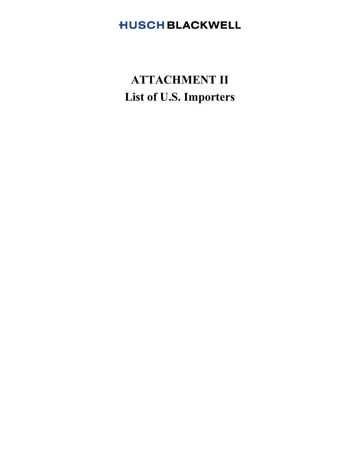# **HUSCH BLACKWELL**

# **ATTACHMENT II List of U.S. Importers**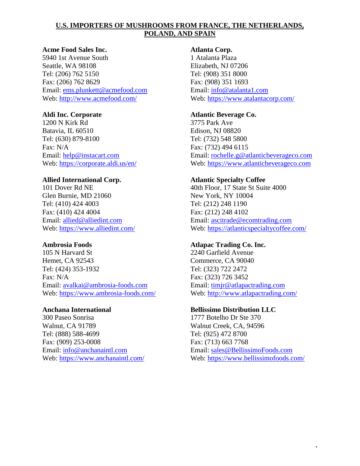#### **Acme Food Sales Inc.**

5940 1st Avenue South Seattle, WA 98108 Tel: (206) 762 5150 Fax: (206) 762 8629 Email: ems.plunkett@acmefood.com Web: http://www.acmefood.com/

#### **Aldi Inc. Corporate**

1200 N Kirk Rd Batavia, IL 60510 Tel: (630) 879-8100 Fax: N/A Email: help@instacart.com Web: https://corporate.aldi.us/en/

#### **Allied International Corp.**

101 Dover Rd NE Glen Burnie, MD 21060 Tel: (410) 424 4003 Fax: (410) 424 4004 Email: allied@alliedint.com Web: https://www.alliedint.com/

#### **Ambrosia Foods**

105 N Harvard St Hemet, CA 92543 Tel: (424) 353-1932 Fax: N/A Email: avalkai@ambrosia-foods.com Web: https://www.ambrosia-foods.com/

#### **Anchana International**

300 Paseo Sonrisa Walnut, CA 91789 Tel: (888) 588-4699 Fax: (909) 253-0008 Email: info@anchanaintl.com Web: https://www.anchanaintl.com/

#### **Atlanta Corp.**

1 Atalanta Plaza Elizabeth, NJ 07206 Tel: (908) 351 8000 Fax: (908) 351 1693 Email: info@atalanta1.com Web: https://www.atalantacorp.com/

#### **Atlantic Beverage Co.**

3775 Park Ave Edison, NJ 08820 Tel: (732) 548 5800 Fax: (732) 494 6115 Email: rochelle.g@atlanticbeverageco.com Web: https://www.atlanticbeverageco.com

#### **Atlantic Specialty Coffee**

40th Floor, 17 State St Suite 4000 New York, NY 10004 Tel: (212) 248 1190 Fax: (212) 248 4102 Email: ascitrade@ecomtrading.com Web: https://atlanticspecialtycoffee.com/

#### **Atlapac Trading Co. Inc.**

2240 Garfield Avenue Commerce, CA 90040 Tel: (323) 722 2472 Fax: (323) 726 3452 Email: timjr@atlapactrading.com Web: http://www.atlapactrading.com/

#### **Bellissimo Distribution LLC**

1777 Botelho Dr Ste 370 Walnut Creek, CA, 94596 Tel: (925) 472 8700 Fax: (713) 663 7768 Email: sales@BellissimoFoods.com Web: https://www.bellissimofoods.com/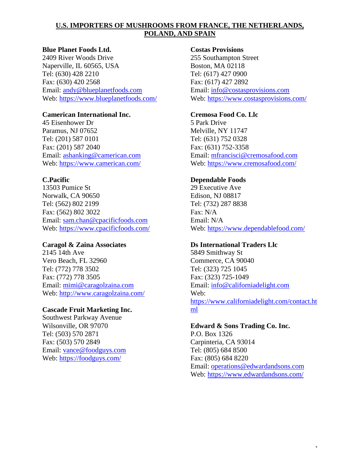#### **Blue Planet Foods Ltd.**

2409 River Woods Drive Naperville, IL 60565, USA Tel: (630) 428 2210 Fax: (630) 420 2568 Email: andy@blueplanetfoods.com Web: https://www.blueplanetfoods.com/

#### **Camerican International Inc.**

45 Eisenhower Dr Paramus, NJ 07652 Tel: (201) 587 0101 Fax: (201) 587 2040 Email: ashanking@camerican.com Web: https://www.camerican.com/

# **C.Pacific**

13503 Pumice St Norwalk, CA 90650 Tel: (562) 802 2199 Fax: (562) 802 3022 Email: sam.chan@cpacificfoods.com Web: https://www.cpacificfoods.com/

# **Caragol & Zaina Associates**

2145 14th Ave Vero Beach, FL 32960 Tel: (772) 778 3502 Fax: (772) 778 3505 Email: mimi@caragolzaina.com Web: http://www.caragolzaina.com/

# **Cascade Fruit Marketing Inc.**

Southwest Parkway Avenue Wilsonville, OR 97070 Tel: (503) 570 2871 Fax: (503) 570 2849 Email: vance@foodguys.com Web: https://foodguys.com/

#### **Costas Provisions**

255 Southampton Street Boston, MA 02118 Tel: (617) 427 0900 Fax: (617) 427 2892 Email: info@costasprovisions.com Web: https://www.costasprovisions.com/

#### **Cremosa Food Co. Llc**

5 Park Drive Melville, NY 11747 Tel: (631) 752 0328 Fax: (631) 752-3358 Email: mfrancisci@cremosafood.com Web: https://www.cremosafood.com/

# **Dependable Foods**

29 Executive Ave Edison, NJ 08817 Tel: (732) 287 8838 Fax: N/A Email: N/A Web: https://www.dependablefood.com/

# **Ds International Traders Llc**

5849 Smithway St Commerce, CA 90040 Tel: (323) 725 1045 Fax: (323) 725-1049 Email: info@californiadelight.com Web: https://www.californiadelight.com/contact.ht ml

# **Edward & Sons Trading Co. Inc.**

P.O. Box 1326 Carpinteria, CA 93014 Tel: (805) 684 8500 Fax: (805) 684 8220 Email: operations@edwardandsons.com Web: https://www.edwardandsons.com/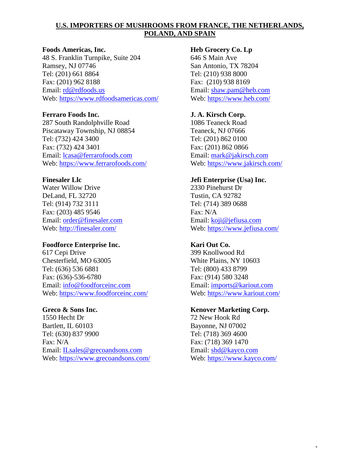#### **Foods Americas, Inc.**

48 S. Franklin Turnpike, Suite 204 Ramsey, NJ 07746 Tel: (201) 661 8864 Fax: (201) 962 8188 Email: rd@rdfoods.us Web: https://www.rdfoodsamericas.com/

#### **Ferraro Foods Inc.**

287 South Randolphville Road Piscataway Township, NJ 08854 Tel: (732) 424 3400 Fax: (732) 424 3401 Email: lcasa@ferrarofoods.com Web: https://www.ferrarofoods.com/

#### **Finesaler Llc**

Water Willow Drive DeLand, FL 32720 Tel: (914) 732 3111 Fax: (203) 485 9546 Email: order@finesaler.com Web: http://finesaler.com/

#### **Foodforce Enterprise Inc.**

617 Cepi Drive Chesterfield, MO 63005 Tel: (636) 536 6881 Fax: (636)-536-6780 Email: info@foodforceinc.com Web: https://www.foodforceinc.com/

#### **Greco & Sons Inc.**

1550 Hecht Dr Bartlett, IL 60103 Tel: (630) 837 9900 Fax: N/A Email: ILsales@grecoandsons.com Web: https://www.grecoandsons.com/

#### **Heb Grocery Co. Lp**

646 S Main Ave San Antonio, TX 78204 Tel: (210) 938 8000 Fax: (210) 938 8169 Email: shaw.pam@heb.com Web: https://www.heb.com/

# **J. A. Kirsch Corp.**

1086 Teaneck Road Teaneck, NJ 07666 Tel: (201) 862 0100 Fax: (201) 862 0866 Email: mark@jakirsch.com Web: https://www.jakirsch.com/

# **Jefi Enterprise (Usa) Inc.**

2330 Pinehurst Dr Tustin, CA 92782 Tel: (714) 389 0688 Fax: N/A Email: koji@jefiusa.com Web: https://www.jefiusa.com/

# **Kari Out Co.**

399 Knollwood Rd White Plains, NY 10603 Tel: (800) 433 8799 Fax: (914) 580 3248 Email: imports@kariout.com Web: https://www.kariout.com/

#### **Kenover Marketing Corp.**

72 New Hook Rd Bayonne, NJ 07002 Tel: (718) 369 4600 Fax: (718) 369 1470 Email: shd@kayco.com Web: https://www.kayco.com/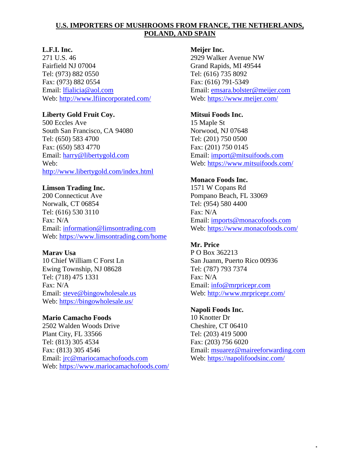# **L.F.I. Inc.**

271 U.S. 46 Fairfield NJ 07004 Tel: (973) 882 0550 Fax: (973) 882 0554 Email: lfialicia@aol.com Web: http://www.lfiincorporated.com/

# **Liberty Gold Fruit Coy.**

500 Eccles Ave South San Francisco, CA 94080 Tel: (650) 583 4700 Fax: (650) 583 4770 Email: harry@libertygold.com Web: http://www.libertygold.com/index.html

# **Limson Trading Inc.**

200 Connecticut Ave Norwalk, CT 06854 Tel: (616) 530 3110 Fax: N/A Email: information@limsontrading.com Web: https://www.limsontrading.com/home

# **Marav Usa**

10 Chief William C Forst Ln Ewing Township, NJ 08628 Tel: (718) 475 1331 Fax: N/A Email: steve@bingowholesale.us Web: https://bingowholesale.us/

# **Mario Camacho Foods**

2502 Walden Woods Drive Plant City, FL 33566 Tel: (813) 305 4534 Fax: (813) 305 4546 Email: jrc@mariocamachofoods.com Web: https://www.mariocamachofoods.com/

#### **Meijer Inc.**

2929 Walker Avenue NW Grand Rapids, MI 49544 Tel: (616) 735 8092 Fax: (616) 791-5349 Email: emsara.bolster@meijer.com Web: https://www.meijer.com/

# **Mitsui Foods Inc.**

15 Maple St Norwood, NJ 07648 Tel: (201) 750 0500 Fax: (201) 750 0145 Email: import@mitsuifoods.com Web: https://www.mitsuifoods.com/

# **Monaco Foods Inc.**

1571 W Copans Rd Pompano Beach, FL 33069 Tel: (954) 580 4400 Fax: N/A Email: imports@monacofoods.com Web: https://www.monacofoods.com/

# **Mr. Price**

P O Box 362213 San Juanm, Puerto Rico 00936 Tel: (787) 793 7374 Fax: N/A Email: info@mrpricepr.com Web: http://www.mrpricepr.com/

# **Napoli Foods Inc.**

10 Knotter Dr Cheshire, CT 06410 Tel: (203) 419 5000 Fax: (203) 756 6020 Email: msuarez@maireeforwarding.com Web: https://napolifoodsinc.com/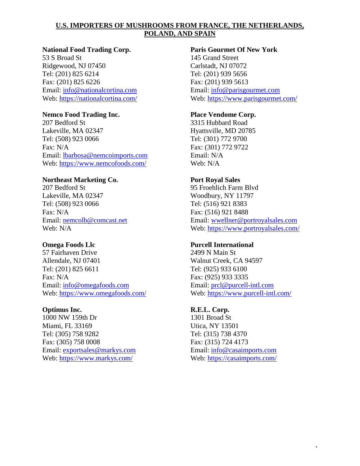#### **National Food Trading Corp.**

53 S Broad St Ridgewood, NJ 07450 Tel: (201) 825 6214 Fax: (201) 825 6226 Email: info@nationalcortina.com Web: https://nationalcortina.com/

# **Nemco Food Trading Inc.**

207 Bedford St Lakeville, MA 02347 Tel: (508) 923 0066 Fax: N/A Email: lbarbosa@nemcoimports.com Web: https://www.nemcofoods.com/

# **Northeast Marketing Co.**

207 Bedford St Lakeville, MA 02347 Tel: (508) 923 0066 Fax: N/A Email: nemcolb@comcast.net Web: N/A

# **Omega Foods Llc**

57 Fairhaven Drive Allendale, NJ 07401 Tel: (201) 825 6611 Fax: N/A Email: info@omegafoods.com Web: https://www.omegafoods.com/

#### **Optimus Inc.**

1000 NW 159th Dr Miami, FL 33169 Tel: (305) 758 9282 Fax: (305) 758 0008 Email: exportsales@markys.com Web: https://www.markys.com/

# **Paris Gourmet Of New York**

145 Grand Street Carlstadt, NJ 07072 Tel: (201) 939 5656 Fax: (201) 939 5613 Email: info@parisgourmet.com Web: https://www.parisgourmet.com/

# **Place Vendome Corp.**

3315 Hubbard Road Hyattsville, MD 20785 Tel: (301) 772 9700 Fax: (301) 772 9722 Email: N/A Web: N/A

# **Port Royal Sales**

95 Froehlich Farm Blvd Woodbury, NY 11797 Tel: (516) 921 8383 Fax: (516) 921 8488 Email: wwellner@portroyalsales.com Web: https://www.portroyalsales.com/

# **Purcell International**

2499 N Main St Walnut Creek, CA 94597 Tel: (925) 933 6100 Fax: (925) 933 3335 Email: prcl@purcell-intl.com Web: https://www.purcell-intl.com/

# **R.E.L. Corp.**

1301 Broad St Utica, NY 13501 Tel: (315) 738 4370 Fax: (315) 724 4173 Email: info@casaimports.com Web: https://casaimports.com/